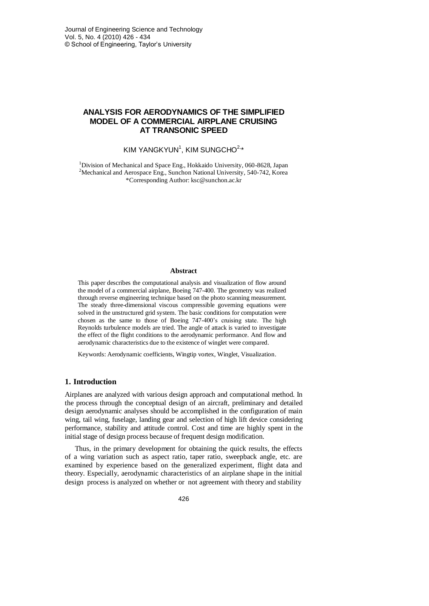# **ANALYSIS FOR AERODYNAMICS OF THE SIMPLIFIED MODEL OF A COMMERCIAL AIRPLANE CRUISING AT TRANSONIC SPEED**

## KIM YANGKYUN $1$ , KIM SUNGCHO $2.4$

<sup>1</sup>Division of Mechanical and Space Eng., Hokkaido University, 060-8628, Japan <sup>2</sup>Mechanical and Aerospace Eng., Sunchon National University, 540-742, Korea \*Corresponding Author: ksc@sunchon.ac.kr

### **Abstract**

This paper describes the computational analysis and visualization of flow around the model of a commercial airplane, Boeing 747-400. The geometry was realized through reverse engineering technique based on the photo scanning measurement. The steady three-dimensional viscous compressible governing equations were solved in the unstructured grid system. The basic conditions for computation were chosen as the same to those of Boeing 747-400's cruising state. The high Reynolds turbulence models are tried. The angle of attack is varied to investigate the effect of the flight conditions to the aerodynamic performance. And flow and aerodynamic characteristics due to the existence of winglet were compared.

Keywords: Aerodynamic coefficients, Wingtip vortex, Winglet, Visualization.

### **1. Introduction**

Airplanes are analyzed with various design approach and computational method. In the process through the conceptual design of an aircraft, preliminary and detailed design aerodynamic analyses should be accomplished in the configuration of main wing, tail wing, fuselage, landing gear and selection of high lift device considering performance, stability and attitude control. Cost and time are highly spent in the initial stage of design process because of frequent design modification.

Thus, in the primary development for obtaining the quick results, the effects of a wing variation such as aspect ratio, taper ratio, sweepback angle, etc. are examined by experience based on the generalized experiment, flight data and theory. Especially, aerodynamic characteristics of an airplane shape in the initial design process is analyzed on whether or not agreement with theory and stability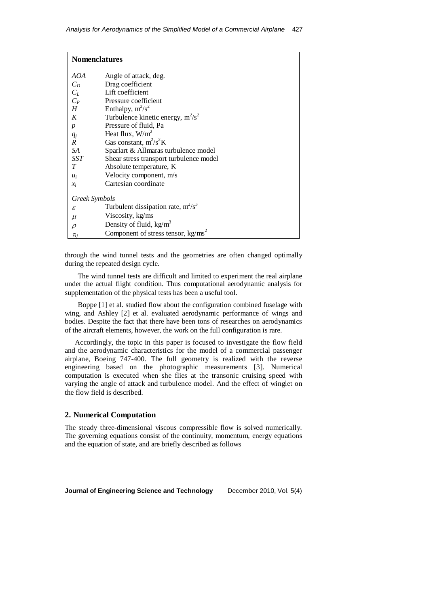| <b>Nomenclatures</b>       |                                         |
|----------------------------|-----------------------------------------|
| AOA                        | Angle of attack, deg.                   |
| $C_D$                      | Drag coefficient                        |
| $C_L$                      | Lift coefficient                        |
| $C_P$                      | Pressure coefficient                    |
| H                          | Enthalpy, $m^2/s^2$                     |
| K                          | Turbulence kinetic energy, $m^2/s^2$    |
| $\boldsymbol{p}$           | Pressure of fluid, Pa                   |
| $q_j$                      | Heat flux, $W/m^2$                      |
| $\boldsymbol{R}$           | Gas constant, $m^2/s^2K$                |
| SA                         | Sparlart & Allmaras turbulence model    |
| SST                        | Shear stress transport turbulence model |
| T                          | Absolute temperature, K                 |
| $u_i$                      | Velocity component, m/s                 |
| $\mathcal{X}_i$            | Cartesian coordinate                    |
| Greek Symbols              |                                         |
| $\boldsymbol{\mathcal{E}}$ | Turbulent dissipation rate, $m^2/s^3$   |
| $\mu$                      | Viscosity, kg/ms                        |
| $\rho$                     | Density of fluid, $kg/m3$               |
| $\tau_{ii}$                | Component of stress tensor, $kg/ms^2$   |

through the wind tunnel tests and the geometries are often changed optimally during the repeated design cycle.

The wind tunnel tests are difficult and limited to experiment the real airplane under the actual flight condition. Thus computational aerodynamic analysis for supplementation of the physical tests has been a useful tool.

Boppe [1] et al. studied flow about the configuration combined fuselage with wing, and Ashley [2] et al. evaluated aerodynamic performance of wings and bodies. Despite the fact that there have been tons of researches on aerodynamics of the aircraft elements, however, the work on the full configuration is rare.

Accordingly, the topic in this paper is focused to investigate the flow field and the aerodynamic characteristics for the model of a commercial passenger airplane, Boeing 747-400. The full geometry is realized with the reverse engineering based on the photographic measurements [3]. Numerical computation is executed when she flies at the transonic cruising speed with varying the angle of attack and turbulence model. And the effect of winglet on the flow field is described.

### **2. Numerical Computation**

The steady three-dimensional viscous compressible flow is solved numerically. The governing equations consist of the continuity, momentum, energy equations and the equation of state, and are briefly described as follows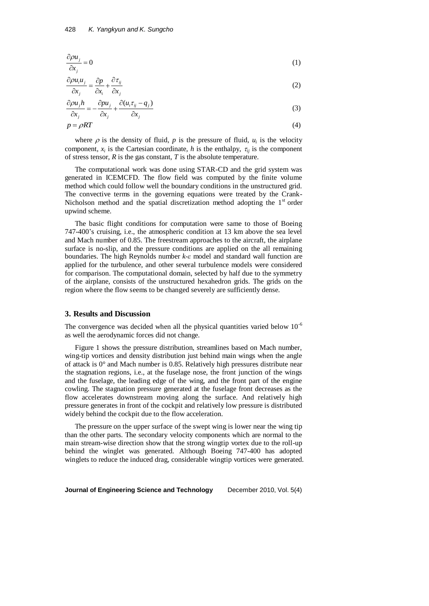$$
\frac{\partial \rho u_j}{\partial x_j} = 0 \tag{1}
$$

$$
\frac{\partial \rho u_i u_j}{\partial x_j} = \frac{\partial p}{\partial x_i} + \frac{\partial \tau_{ij}}{\partial x_j}
$$
 (2)

$$
\frac{\partial \rho u_j h}{\partial x_j} = -\frac{\partial \rho u_j}{\partial x_j} + \frac{\partial (u_i \tau_{ij} - q_j)}{\partial x_j}
$$
(3)

$$
\frac{1}{\partial x_j} = -\frac{1}{\partial x_j} + \frac{1}{\partial x_j}
$$
(3)  

$$
p = \rho RT
$$
(4)

where  $\rho$  is the density of fluid,  $p$  is the pressure of fluid,  $u_i$  is the velocity component,  $x_i$  is the Cartesian coordinate, *h* is the enthalpy,  $\tau_{ij}$  is the component of stress tensor, *R* is the gas constant, *T* is the absolute temperature.

The computational work was done using STAR-CD and the grid system was generated in ICEMCFD. The flow field was computed by the finite volume method which could follow well the boundary conditions in the unstructured grid. The convective terms in the governing equations were treated by the Crank-Nicholson method and the spatial discretization method adopting the  $1<sup>st</sup>$  order upwind scheme.

The basic flight conditions for computation were same to those of Boeing 747-400's cruising, i.e., the atmospheric condition at 13 km above the sea level and Mach number of 0.85. The freestream approaches to the aircraft, the airplane surface is no-slip, and the pressure conditions are applied on the all remaining boundaries. The high Reynolds number *k-ε* model and standard wall function are applied for the turbulence, and other several turbulence models were considered for comparison. The computational domain, selected by half due to the symmetry of the airplane, consists of the unstructured hexahedron grids. The grids on the region where the flow seems to be changed severely are sufficiently dense.

### **3. Results and Discussion**

The convergence was decided when all the physical quantities varied below  $10^{-6}$ as well the aerodynamic forces did not change.

Figure 1 shows the pressure distribution, streamlines based on Mach number, wing-tip vortices and density distribution just behind main wings when the angle of attack is 0° and Mach number is 0.85. Relatively high pressures distribute near the stagnation regions, i.e., at the fuselage nose, the front junction of the wings and the fuselage, the leading edge of the wing, and the front part of the engine cowling. The stagnation pressure generated at the fuselage front decreases as the flow accelerates downstream moving along the surface. And relatively high pressure generates in front of the cockpit and relatively low pressure is distributed widely behind the cockpit due to the flow acceleration.

The pressure on the upper surface of the swept wing is lower near the wing tip than the other parts. The secondary velocity components which are normal to the main stream-wise direction show that the strong wingtip vortex due to the roll-up behind the winglet was generated. Although Boeing 747-400 has adopted winglets to reduce the induced drag, considerable wingtip vortices were generated.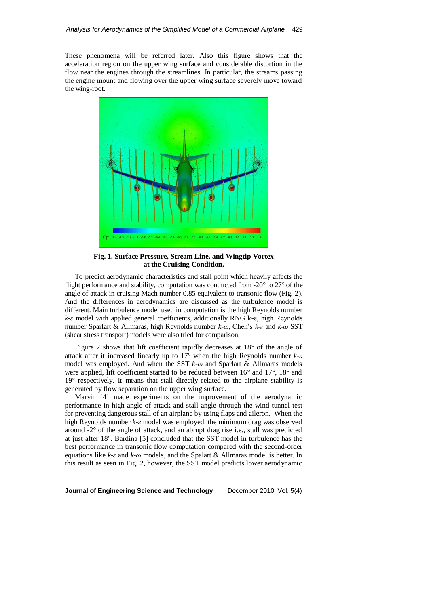These phenomena will be referred later. Also this figure shows that the acceleration region on the upper wing surface and considerable distortion in the flow near the engines through the streamlines. In particular, the streams passing the engine mount and flowing over the upper wing surface severely move toward the wing-root.



**Fig. 1. Surface Pressure, Stream Line, and Wingtip Vortex at the Cruising Condition.**

To predict aerodynamic characteristics and stall point which heavily affects the flight performance and stability, computation was conducted from -20° to 27° of the angle of attack in cruising Mach number 0.85 equivalent to transonic flow (Fig. 2). And the differences in aerodynamics are discussed as the turbulence model is different. Main turbulence model used in computation is the high Reynolds number *k-ε* model with applied general coefficients, additionally RNG k-ε, high Reynolds number Sparlart & Allmaras, high Reynolds number *k-ω*, Chen's *k-ε* and *k-ω* SST (shear stress transport) models were also tried for comparison.

Figure 2 shows that lift coefficient rapidly decreases at 18° of the angle of attack after it increased linearly up to 17° when the high Reynolds number *k-ε* model was employed. And when the SST *k-ω* and Sparlart & Allmaras models were applied, lift coefficient started to be reduced between 16° and 17°, 18° and 19° respectively. It means that stall directly related to the airplane stability is generated by flow separation on the upper wing surface.

Marvin [4] made experiments on the improvement of the aerodynamic performance in high angle of attack and stall angle through the wind tunnel test for preventing dangerous stall of an airplane by using flaps and aileron. When the high Reynolds number *k-ε* model was employed, the minimum drag was observed around -2° of the angle of attack, and an abrupt drag rise i.e., stall was predicted at just after 18°. Bardina [5] concluded that the SST model in turbulence has the best performance in transonic flow computation compared with the second-order equations like *k-ε* and *k-ω* models, and the Spalart & Allmaras model is better. In this result as seen in Fig. 2, however, the SST model predicts lower aerodynamic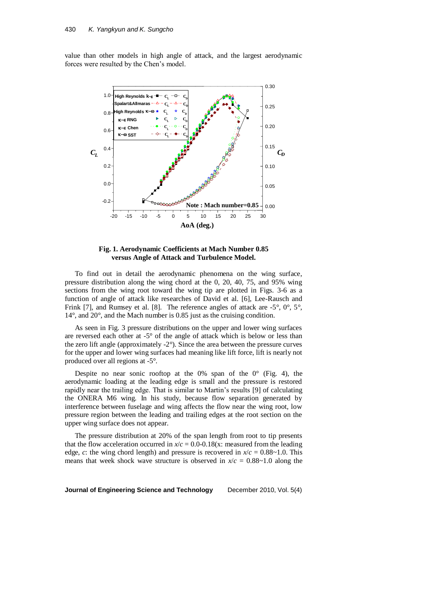value than other models in high angle of attack, and the largest aerodynamic forces were resulted by the Chen's model.



**Fig. 1. Aerodynamic Coefficients at Mach Number 0.85 versus Angle of Attack and Turbulence Model.**

To find out in detail the aerodynamic phenomena on the wing surface, pressure distribution along the wing chord at the 0, 20, 40, 75, and 95% wing sections from the wing root toward the wing tip are plotted in Figs. 3-6 as a function of angle of attack like researches of David et al. [6], Lee-Rausch and Frink [7], and Rumsey et al. [8]. The reference angles of attack are -5°, 0°, 5°, 14°, and 20°, and the Mach number is 0.85 just as the cruising condition.

As seen in Fig. 3 pressure distributions on the upper and lower wing surfaces are reversed each other at -5° of the angle of attack which is below or less than the zero lift angle (approximately -2°). Since the area between the pressure curves for the upper and lower wing surfaces had meaning like lift force, lift is nearly not produced over all regions at -5°.

Despite no near sonic rooftop at the 0% span of the  $0^{\circ}$  (Fig. 4), the aerodynamic loading at the leading edge is small and the pressure is restored rapidly near the trailing edge. That is similar to Martin's results [9] of calculating the ONERA M6 wing. In his study, because flow separation generated by interference between fuselage and wing affects the flow near the wing root, low pressure region between the leading and trailing edges at the root section on the upper wing surface does not appear.

The pressure distribution at 20% of the span length from root to tip presents that the flow acceleration occurred in  $x/c = 0.0 - 0.18(x)$ : measured from the leading edge, *c*: the wing chord length) and pressure is recovered in  $x/c = 0.88 \sim 1.0$ . This means that week shock wave structure is observed in  $x/c = 0.88 \sim 1.0$  along the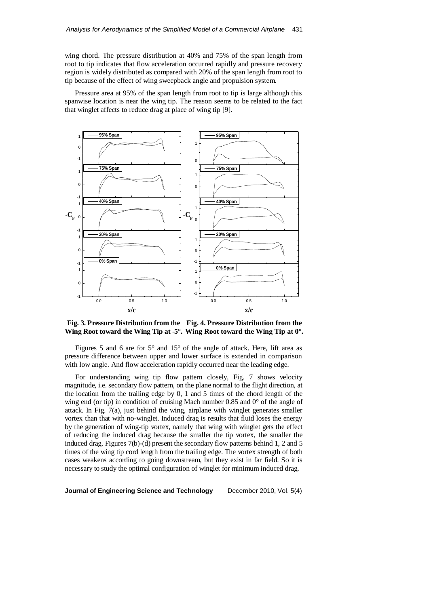wing chord. The pressure distribution at 40% and 75% of the span length from root to tip indicates that flow acceleration occurred rapidly and pressure recovery region is widely distributed as compared with 20% of the span length from root to tip because of the effect of wing sweepback angle and propulsion system.

Pressure area at 95% of the span length from root to tip is large although this spanwise location is near the wing tip. The reason seems to be related to the fact that winglet affects to reduce drag at place of wing tip [9].



**Fig. 3. Pressure Distribution from the Fig. 4. Pressure Distribution from the Wing Root toward the Wing Tip at -5°. Wing Root toward the Wing Tip at 0°.**

Figures 5 and 6 are for 5° and 15° of the angle of attack. Here, lift area as pressure difference between upper and lower surface is extended in comparison with low angle. And flow acceleration rapidly occurred near the leading edge.

For understanding wing tip flow pattern closely, Fig. 7 shows velocity magnitude, i.e. secondary flow pattern, on the plane normal to the flight direction, at the location from the trailing edge by 0, 1 and 5 times of the chord length of the wing end (or tip) in condition of cruising Mach number 0.85 and 0° of the angle of attack. In Fig. 7(a), just behind the wing, airplane with winglet generates smaller vortex than that with no-winglet. Induced drag is results that fluid loses the energy by the generation of wing-tip vortex, namely that wing with winglet gets the effect of reducing the induced drag because the smaller the tip vortex, the smaller the induced drag. Figures 7(b)-(d) present the secondary flow patterns behind 1, 2 and 5 times of the wing tip cord length from the trailing edge. The vortex strength of both cases weakens according to going downstream, but they exist in far field. So it is necessary to study the optimal configuration of winglet for minimum induced drag.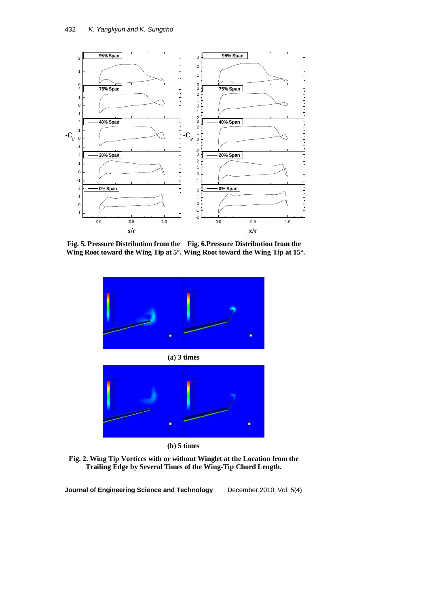

**Fig. 5. Pressure Distribution from the Fig. 6.Pressure Distribution from the Wing Root toward the Wing Tip at 5°. Wing Root toward the Wing Tip at 15°.**



**(a) 3 times**



**(b) 5 times**

**Fig. 2. Wing Tip Vortices with or without Winglet at the Location from the Trailing Edge by Several Times of the Wing-Tip Chord Length.**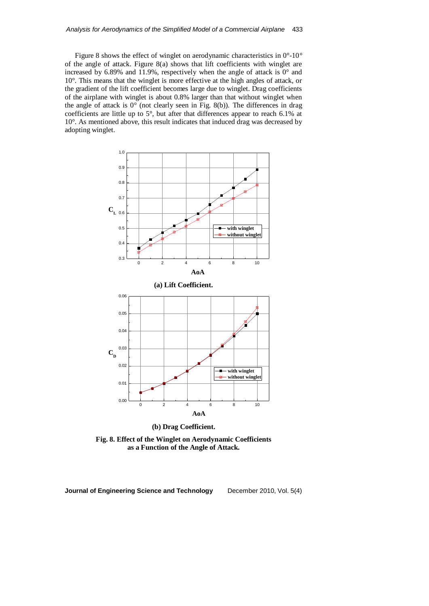Figure 8 shows the effect of winglet on aerodynamic characteristics in 0°-10° of the angle of attack. Figure 8(a) shows that lift coefficients with winglet are increased by  $6.89\%$  and  $11.9\%$ , respectively when the angle of attack is  $0^{\circ}$  and 10°. This means that the winglet is more effective at the high angles of attack, or the gradient of the lift coefficient becomes large due to winglet. Drag coefficients of the airplane with winglet is about 0.8% larger than that without winglet when the angle of attack is 0° (not clearly seen in Fig. 8(b)). The differences in drag coefficients are little up to 5°, but after that differences appear to reach 6.1% at 10°. As mentioned above, this result indicates that induced drag was decreased by adopting winglet.



**(b) Drag Coefficient.**

**Fig. 8. Effect of the Winglet on Aerodynamic Coefficients as a Function of the Angle of Attack.**